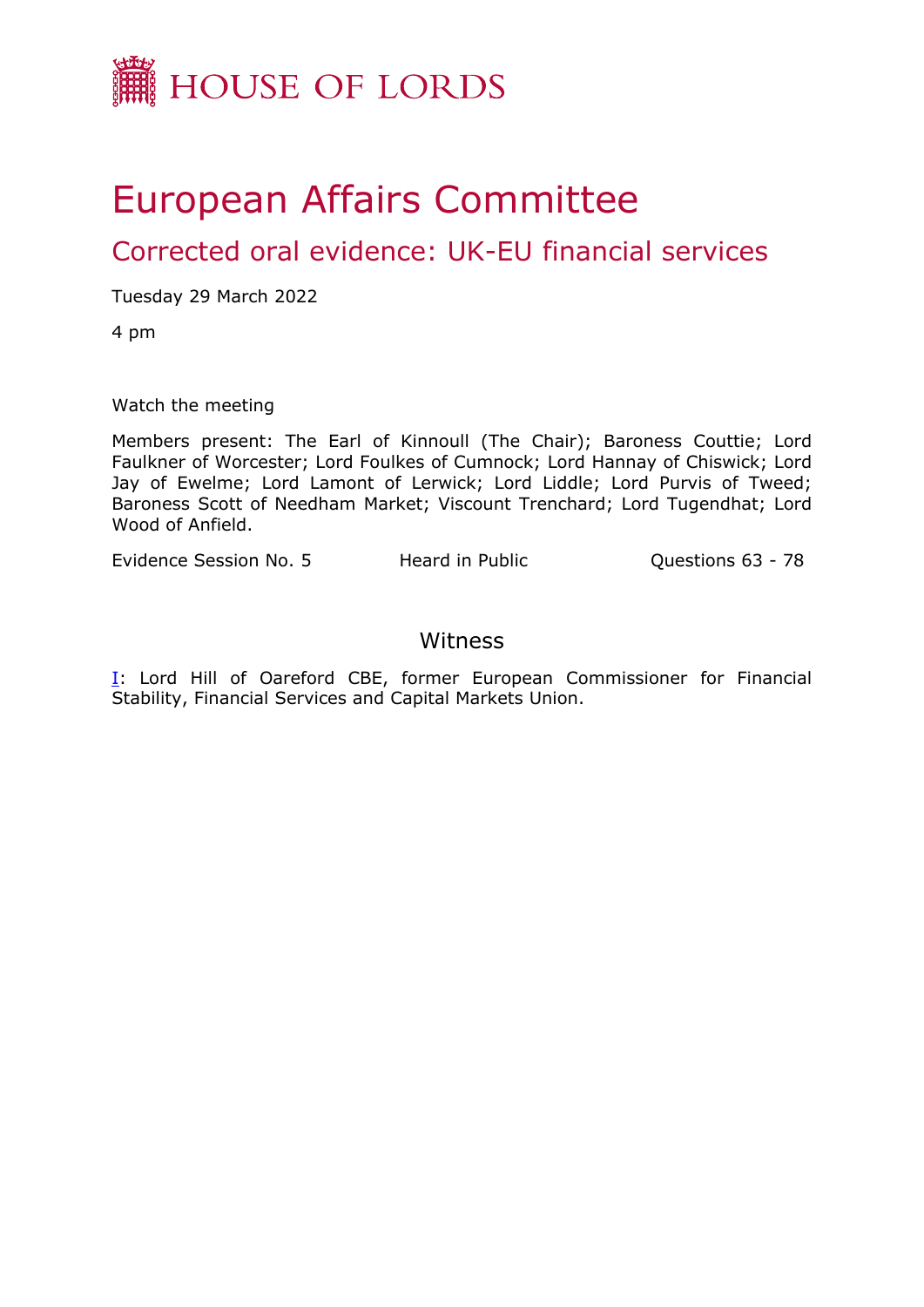

# European Affairs Committee

Corrected oral evidence: UK-EU financial services

Tuesday 29 March 2022

4 pm

Watch the meeting

Members present: The Earl of Kinnoull (The Chair); Baroness Couttie; Lord Faulkner of Worcester; Lord Foulkes of Cumnock; Lord Hannay of Chiswick; Lord Jay of Ewelme; Lord Lamont of Lerwick; Lord Liddle; Lord Purvis of Tweed; Baroness Scott of Needham Market; Viscount Trenchard; Lord Tugendhat; Lord Wood of Anfield.

Evidence Session No. 5 Heard in Public **Questions 63 - 78** 

# Witness

[I:](#page-1-0) Lord Hill of Oareford CBE, former European Commissioner for Financial Stability, Financial Services and Capital Markets Union.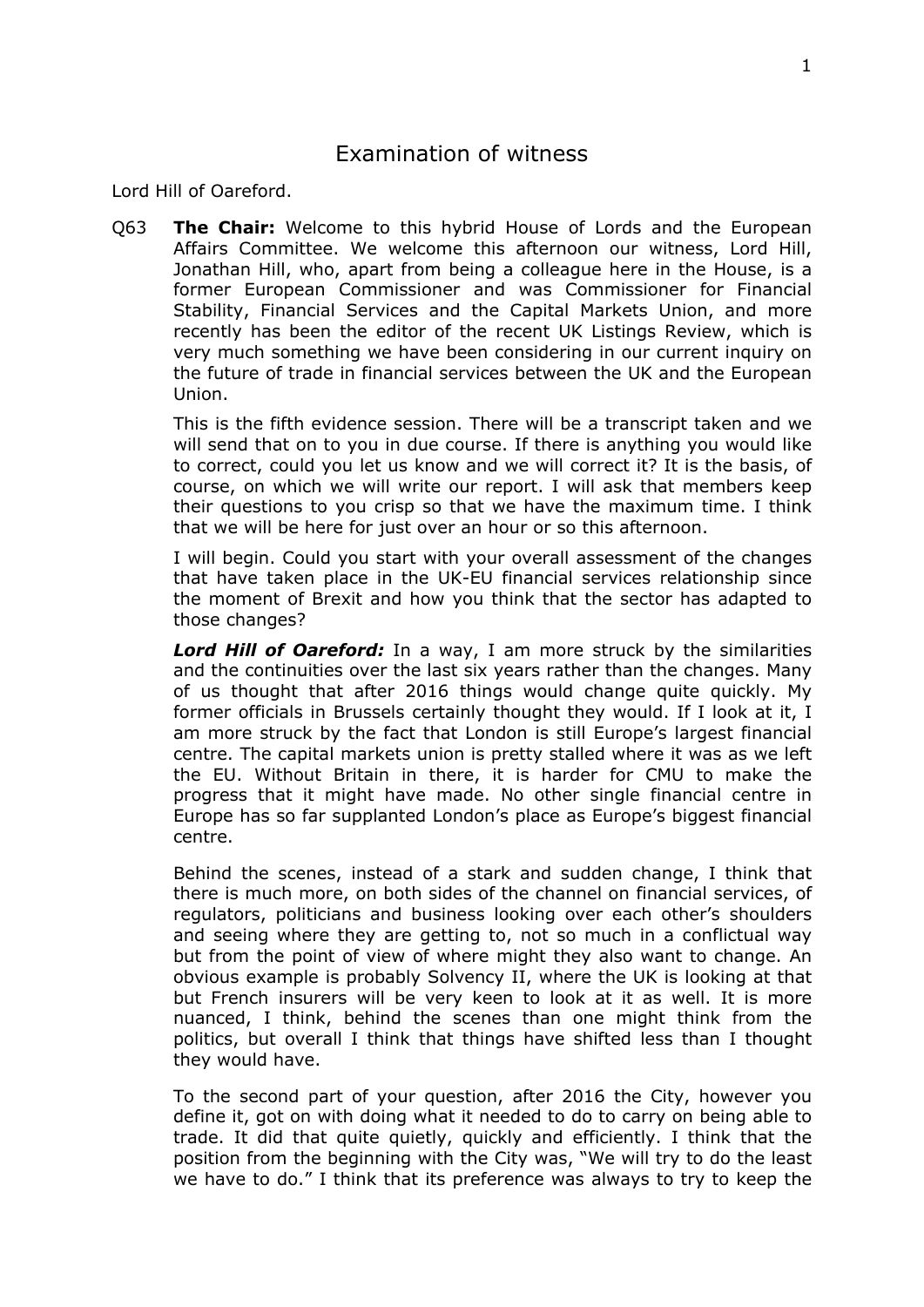<span id="page-1-0"></span>Lord Hill of Oareford.

Q63 **The Chair:** Welcome to this hybrid House of Lords and the European Affairs Committee. We welcome this afternoon our witness, Lord Hill, Jonathan Hill, who, apart from being a colleague here in the House, is a former European Commissioner and was Commissioner for Financial Stability, Financial Services and the Capital Markets Union, and more recently has been the editor of the recent UK Listings Review, which is very much something we have been considering in our current inquiry on the future of trade in financial services between the UK and the European Union.

This is the fifth evidence session. There will be a transcript taken and we will send that on to you in due course. If there is anything you would like to correct, could you let us know and we will correct it? It is the basis, of course, on which we will write our report. I will ask that members keep their questions to you crisp so that we have the maximum time. I think that we will be here for just over an hour or so this afternoon.

I will begin. Could you start with your overall assessment of the changes that have taken place in the UK-EU financial services relationship since the moment of Brexit and how you think that the sector has adapted to those changes?

*Lord Hill of Oareford:* In a way, I am more struck by the similarities and the continuities over the last six years rather than the changes. Many of us thought that after 2016 things would change quite quickly. My former officials in Brussels certainly thought they would. If I look at it, I am more struck by the fact that London is still Europe's largest financial centre. The capital markets union is pretty stalled where it was as we left the EU. Without Britain in there, it is harder for CMU to make the progress that it might have made. No other single financial centre in Europe has so far supplanted London's place as Europe's biggest financial centre.

Behind the scenes, instead of a stark and sudden change, I think that there is much more, on both sides of the channel on financial services, of regulators, politicians and business looking over each other's shoulders and seeing where they are getting to, not so much in a conflictual way but from the point of view of where might they also want to change. An obvious example is probably Solvency II, where the UK is looking at that but French insurers will be very keen to look at it as well. It is more nuanced, I think, behind the scenes than one might think from the politics, but overall I think that things have shifted less than I thought they would have.

To the second part of your question, after 2016 the City, however you define it, got on with doing what it needed to do to carry on being able to trade. It did that quite quietly, quickly and efficiently. I think that the position from the beginning with the City was, "We will try to do the least we have to do." I think that its preference was always to try to keep the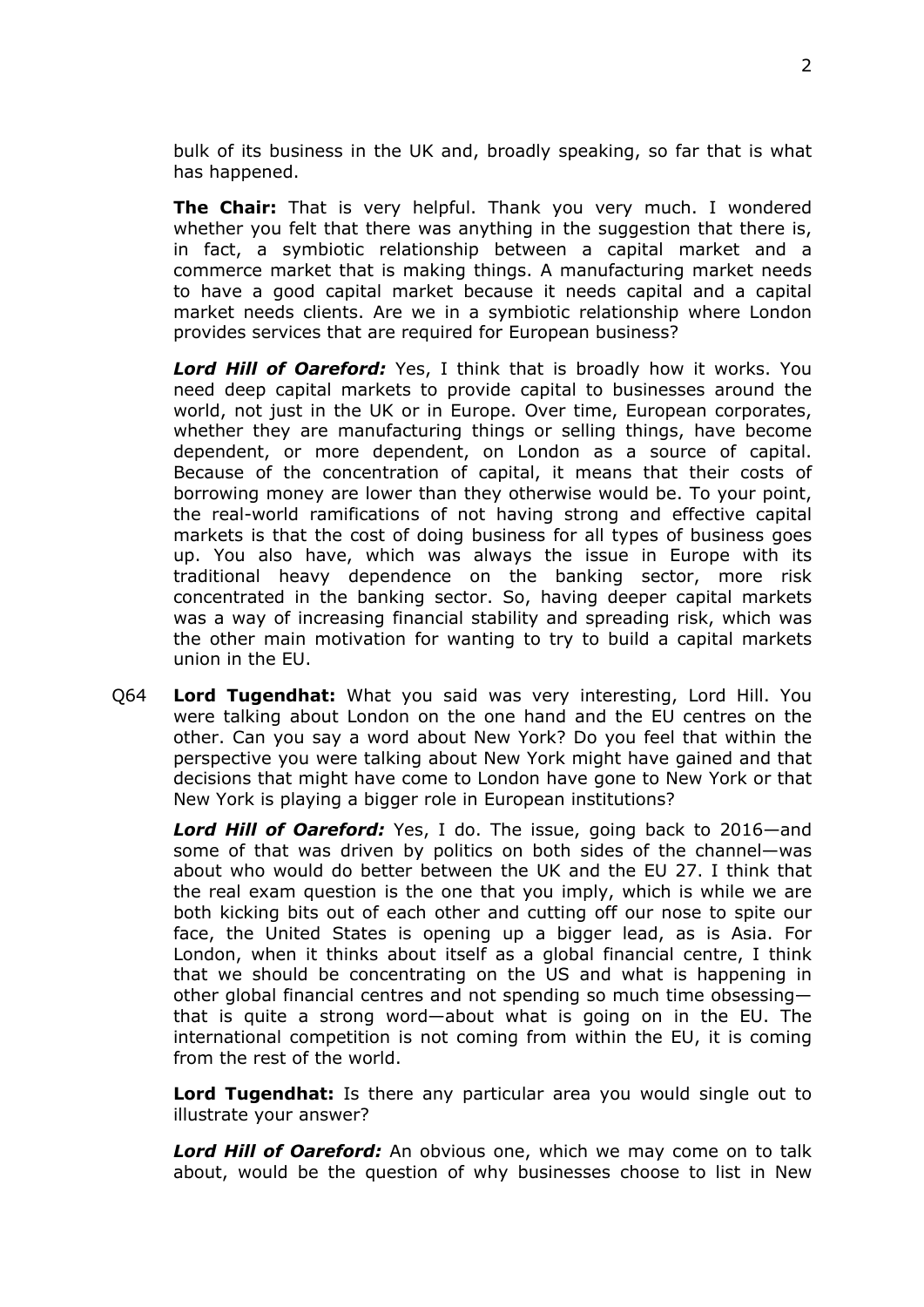bulk of its business in the UK and, broadly speaking, so far that is what has happened.

**The Chair:** That is very helpful. Thank you very much. I wondered whether you felt that there was anything in the suggestion that there is, in fact, a symbiotic relationship between a capital market and a commerce market that is making things. A manufacturing market needs to have a good capital market because it needs capital and a capital market needs clients. Are we in a symbiotic relationship where London provides services that are required for European business?

*Lord Hill of Oareford:* Yes, I think that is broadly how it works. You need deep capital markets to provide capital to businesses around the world, not just in the UK or in Europe. Over time, European corporates, whether they are manufacturing things or selling things, have become dependent, or more dependent, on London as a source of capital. Because of the concentration of capital, it means that their costs of borrowing money are lower than they otherwise would be. To your point, the real-world ramifications of not having strong and effective capital markets is that the cost of doing business for all types of business goes up. You also have, which was always the issue in Europe with its traditional heavy dependence on the banking sector, more risk concentrated in the banking sector. So, having deeper capital markets was a way of increasing financial stability and spreading risk, which was the other main motivation for wanting to try to build a capital markets union in the EU.

Q64 **Lord Tugendhat:** What you said was very interesting, Lord Hill. You were talking about London on the one hand and the EU centres on the other. Can you say a word about New York? Do you feel that within the perspective you were talking about New York might have gained and that decisions that might have come to London have gone to New York or that New York is playing a bigger role in European institutions?

*Lord Hill of Oareford:* Yes, I do. The issue, going back to 2016—and some of that was driven by politics on both sides of the channel—was about who would do better between the UK and the EU 27. I think that the real exam question is the one that you imply, which is while we are both kicking bits out of each other and cutting off our nose to spite our face, the United States is opening up a bigger lead, as is Asia. For London, when it thinks about itself as a global financial centre, I think that we should be concentrating on the US and what is happening in other global financial centres and not spending so much time obsessing that is quite a strong word—about what is going on in the EU. The international competition is not coming from within the EU, it is coming from the rest of the world.

**Lord Tugendhat:** Is there any particular area you would single out to illustrate your answer?

*Lord Hill of Oareford:* An obvious one, which we may come on to talk about, would be the question of why businesses choose to list in New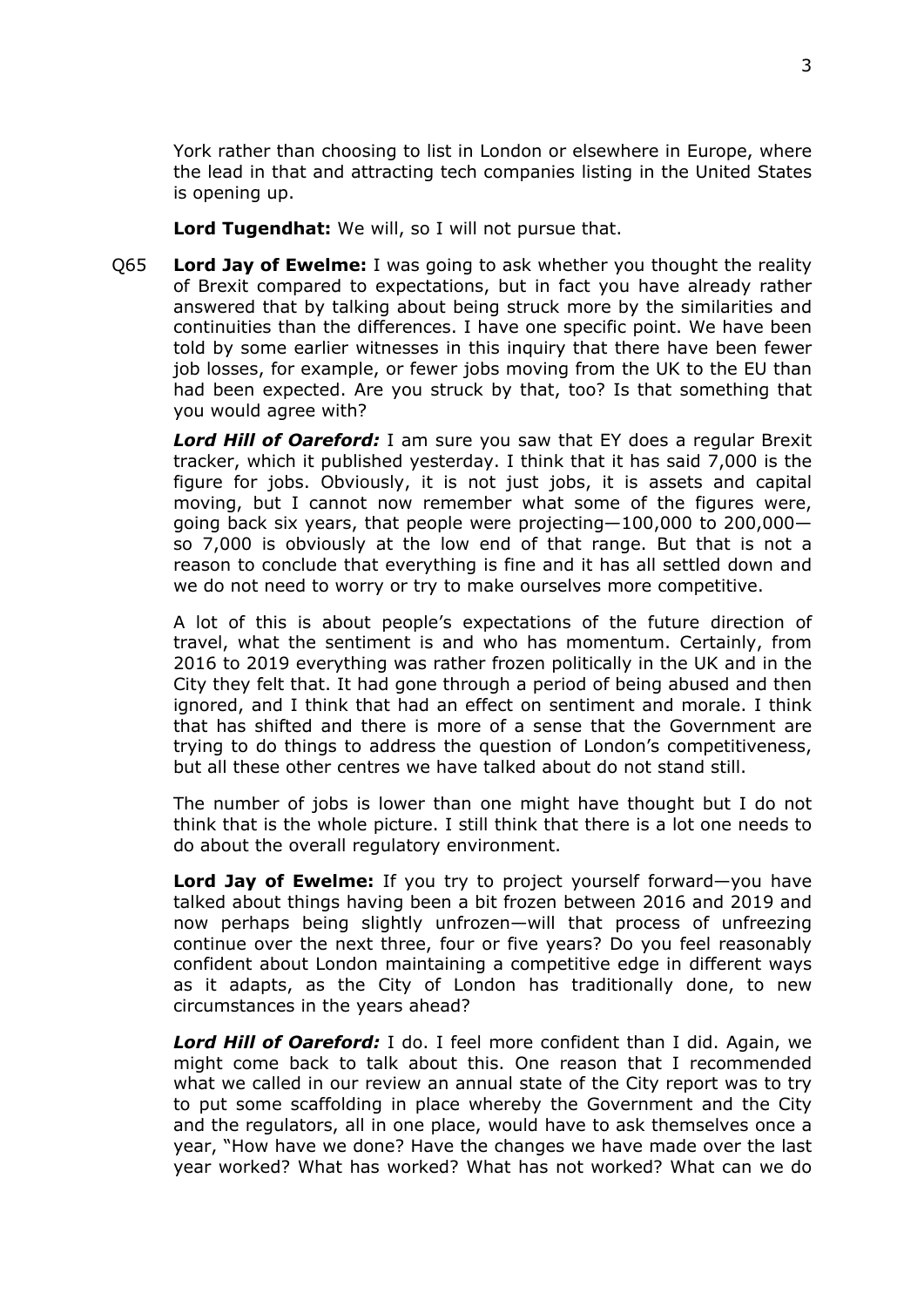York rather than choosing to list in London or elsewhere in Europe, where the lead in that and attracting tech companies listing in the United States is opening up.

**Lord Tugendhat:** We will, so I will not pursue that.

Q65 **Lord Jay of Ewelme:** I was going to ask whether you thought the reality of Brexit compared to expectations, but in fact you have already rather answered that by talking about being struck more by the similarities and continuities than the differences. I have one specific point. We have been told by some earlier witnesses in this inquiry that there have been fewer job losses, for example, or fewer jobs moving from the UK to the EU than had been expected. Are you struck by that, too? Is that something that you would agree with?

*Lord Hill of Oareford:* I am sure you saw that EY does a regular Brexit tracker, which it published yesterday. I think that it has said 7,000 is the figure for jobs. Obviously, it is not just jobs, it is assets and capital moving, but I cannot now remember what some of the figures were, going back six years, that people were projecting—100,000 to 200,000 so 7,000 is obviously at the low end of that range. But that is not a reason to conclude that everything is fine and it has all settled down and we do not need to worry or try to make ourselves more competitive.

A lot of this is about people's expectations of the future direction of travel, what the sentiment is and who has momentum. Certainly, from 2016 to 2019 everything was rather frozen politically in the UK and in the City they felt that. It had gone through a period of being abused and then ignored, and I think that had an effect on sentiment and morale. I think that has shifted and there is more of a sense that the Government are trying to do things to address the question of London's competitiveness, but all these other centres we have talked about do not stand still.

The number of jobs is lower than one might have thought but I do not think that is the whole picture. I still think that there is a lot one needs to do about the overall regulatory environment.

**Lord Jay of Ewelme:** If you try to project yourself forward—you have talked about things having been a bit frozen between 2016 and 2019 and now perhaps being slightly unfrozen—will that process of unfreezing continue over the next three, four or five years? Do you feel reasonably confident about London maintaining a competitive edge in different ways as it adapts, as the City of London has traditionally done, to new circumstances in the years ahead?

*Lord Hill of Oareford:* I do. I feel more confident than I did. Again, we might come back to talk about this. One reason that I recommended what we called in our review an annual state of the City report was to try to put some scaffolding in place whereby the Government and the City and the regulators, all in one place, would have to ask themselves once a year, "How have we done? Have the changes we have made over the last year worked? What has worked? What has not worked? What can we do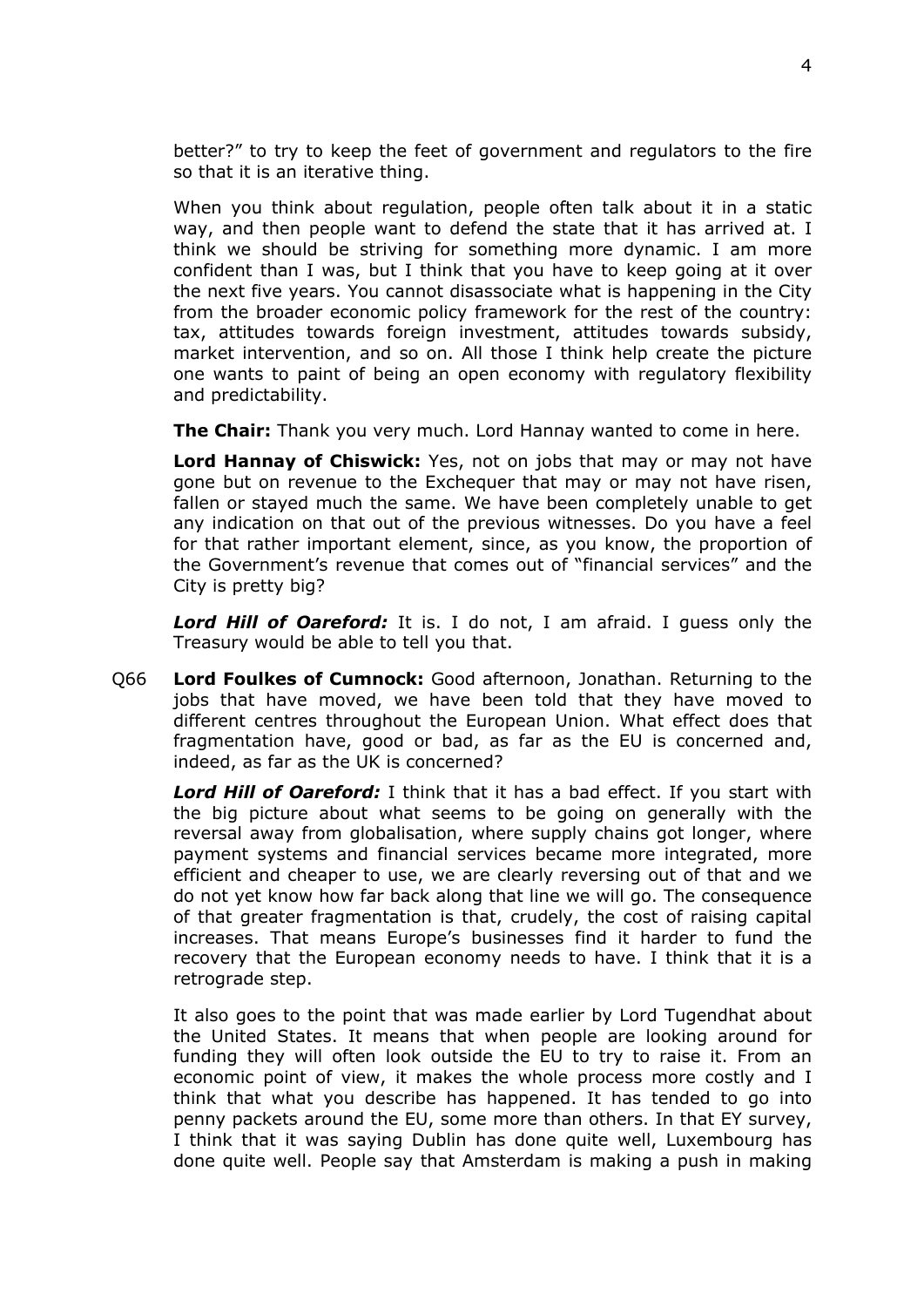better?" to try to keep the feet of government and regulators to the fire so that it is an iterative thing.

When you think about regulation, people often talk about it in a static way, and then people want to defend the state that it has arrived at. I think we should be striving for something more dynamic. I am more confident than I was, but I think that you have to keep going at it over the next five years. You cannot disassociate what is happening in the City from the broader economic policy framework for the rest of the country: tax, attitudes towards foreign investment, attitudes towards subsidy, market intervention, and so on. All those I think help create the picture one wants to paint of being an open economy with regulatory flexibility and predictability.

**The Chair:** Thank you very much. Lord Hannay wanted to come in here.

**Lord Hannay of Chiswick:** Yes, not on jobs that may or may not have gone but on revenue to the Exchequer that may or may not have risen, fallen or stayed much the same. We have been completely unable to get any indication on that out of the previous witnesses. Do you have a feel for that rather important element, since, as you know, the proportion of the Government's revenue that comes out of "financial services" and the City is pretty big?

*Lord Hill of Oareford:* It is. I do not, I am afraid. I guess only the Treasury would be able to tell you that.

Q66 **Lord Foulkes of Cumnock:** Good afternoon, Jonathan. Returning to the jobs that have moved, we have been told that they have moved to different centres throughout the European Union. What effect does that fragmentation have, good or bad, as far as the EU is concerned and, indeed, as far as the UK is concerned?

*Lord Hill of Oareford:* I think that it has a bad effect. If you start with the big picture about what seems to be going on generally with the reversal away from globalisation, where supply chains got longer, where payment systems and financial services became more integrated, more efficient and cheaper to use, we are clearly reversing out of that and we do not yet know how far back along that line we will go. The consequence of that greater fragmentation is that, crudely, the cost of raising capital increases. That means Europe's businesses find it harder to fund the recovery that the European economy needs to have. I think that it is a retrograde step.

It also goes to the point that was made earlier by Lord Tugendhat about the United States. It means that when people are looking around for funding they will often look outside the EU to try to raise it. From an economic point of view, it makes the whole process more costly and I think that what you describe has happened. It has tended to go into penny packets around the EU, some more than others. In that EY survey, I think that it was saying Dublin has done quite well, Luxembourg has done quite well. People say that Amsterdam is making a push in making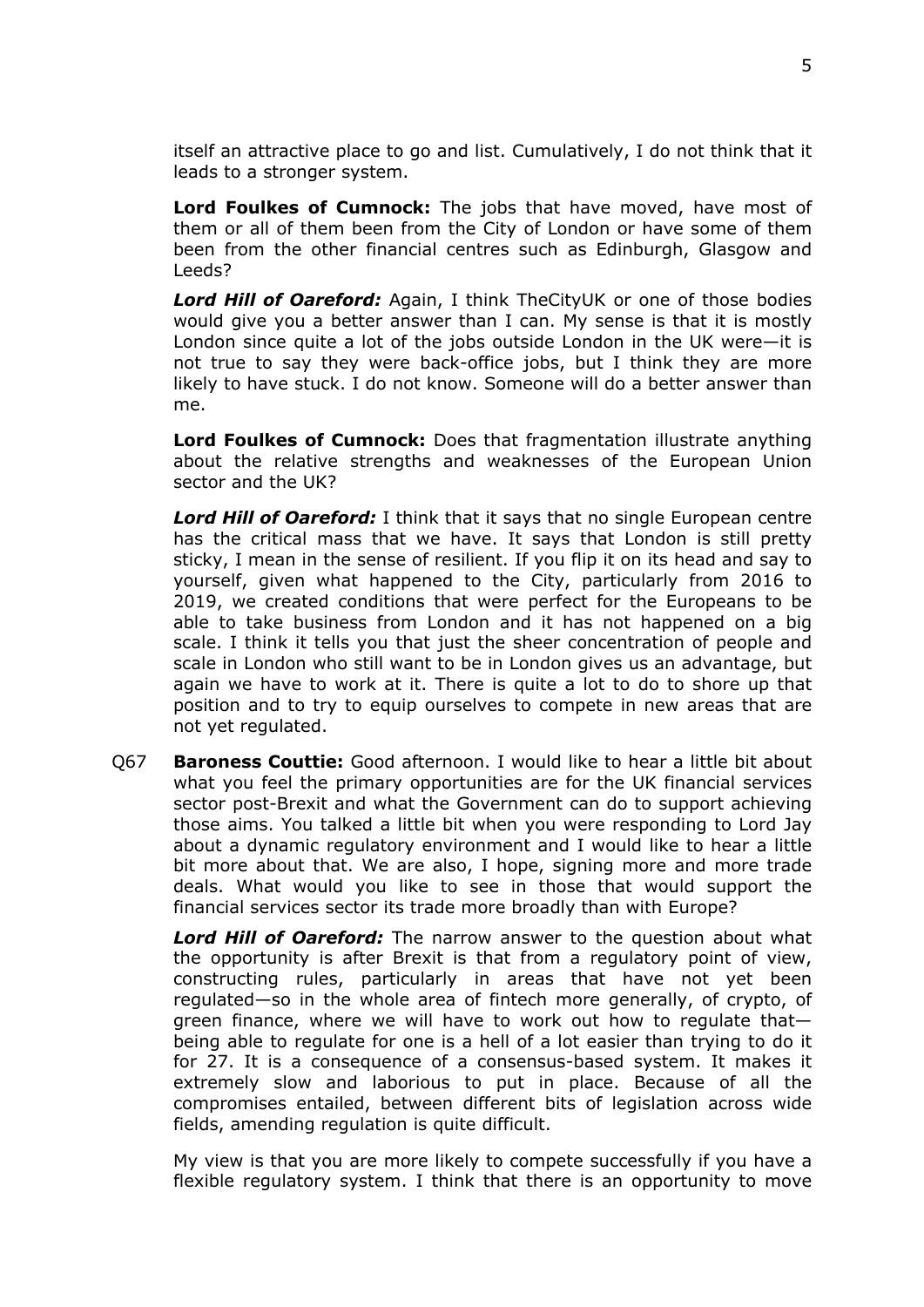itself an attractive place to go and list. Cumulatively, I do not think that it leads to a stronger system.

**Lord Foulkes of Cumnock:** The jobs that have moved, have most of them or all of them been from the City of London or have some of them been from the other financial centres such as Edinburgh, Glasgow and Leeds?

*Lord Hill of Oareford:* Again, I think TheCityUK or one of those bodies would give you a better answer than I can. My sense is that it is mostly London since quite a lot of the jobs outside London in the UK were—it is not true to say they were back-office jobs, but I think they are more likely to have stuck. I do not know. Someone will do a better answer than me.

**Lord Foulkes of Cumnock:** Does that fragmentation illustrate anything about the relative strengths and weaknesses of the European Union sector and the UK?

*Lord Hill of Oareford:* I think that it says that no single European centre has the critical mass that we have. It says that London is still pretty sticky, I mean in the sense of resilient. If you flip it on its head and say to yourself, given what happened to the City, particularly from 2016 to 2019, we created conditions that were perfect for the Europeans to be able to take business from London and it has not happened on a big scale. I think it tells you that just the sheer concentration of people and scale in London who still want to be in London gives us an advantage, but again we have to work at it. There is quite a lot to do to shore up that position and to try to equip ourselves to compete in new areas that are not yet regulated.

Q67 **Baroness Couttie:** Good afternoon. I would like to hear a little bit about what you feel the primary opportunities are for the UK financial services sector post-Brexit and what the Government can do to support achieving those aims. You talked a little bit when you were responding to Lord Jay about a dynamic regulatory environment and I would like to hear a little bit more about that. We are also, I hope, signing more and more trade deals. What would you like to see in those that would support the financial services sector its trade more broadly than with Europe?

*Lord Hill of Oareford:* The narrow answer to the question about what the opportunity is after Brexit is that from a regulatory point of view, constructing rules, particularly in areas that have not yet been regulated—so in the whole area of fintech more generally, of crypto, of green finance, where we will have to work out how to regulate that being able to regulate for one is a hell of a lot easier than trying to do it for 27. It is a consequence of a consensus-based system. It makes it extremely slow and laborious to put in place. Because of all the compromises entailed, between different bits of legislation across wide fields, amending regulation is quite difficult.

My view is that you are more likely to compete successfully if you have a flexible regulatory system. I think that there is an opportunity to move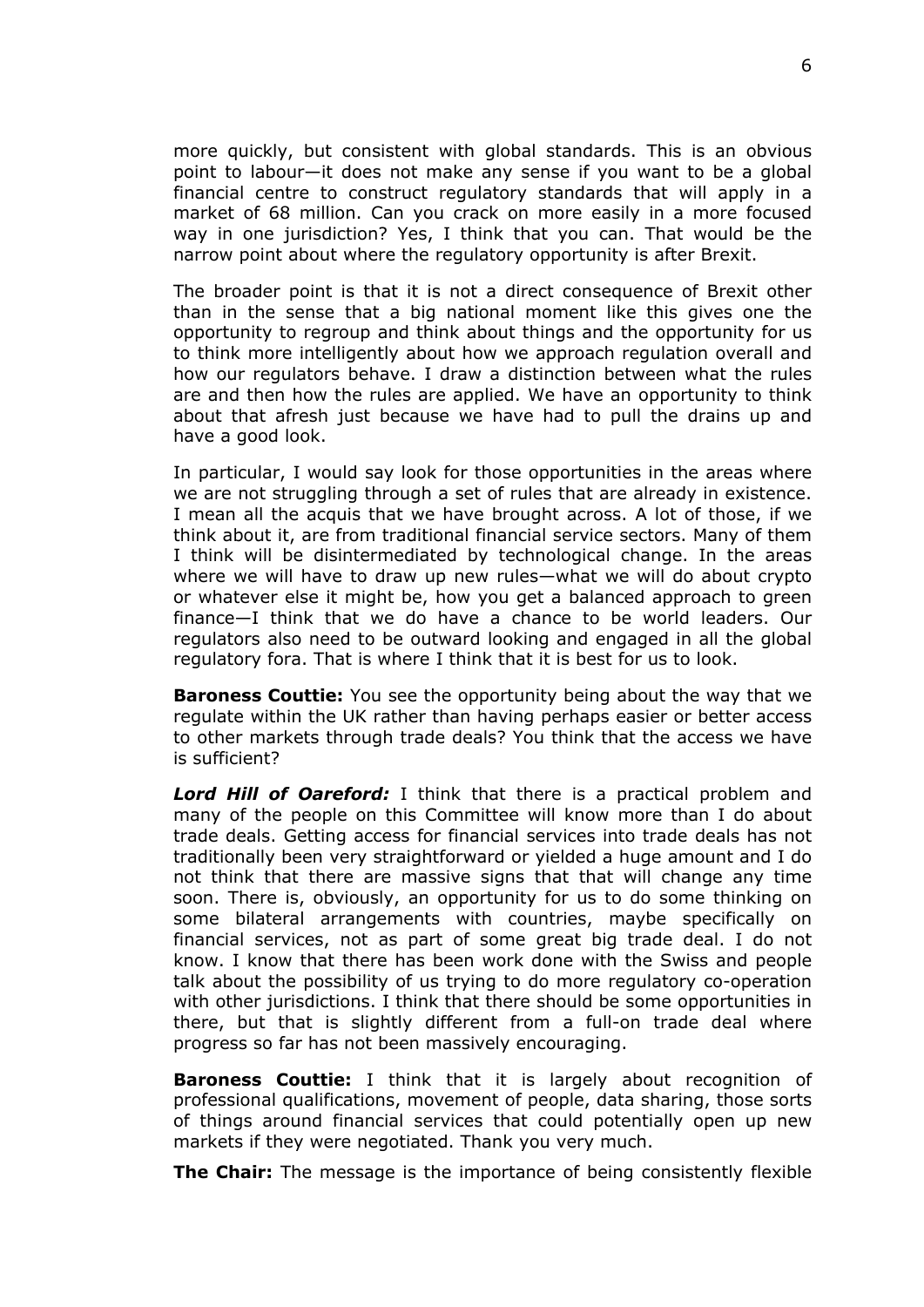more quickly, but consistent with global standards. This is an obvious point to labour—it does not make any sense if you want to be a global financial centre to construct regulatory standards that will apply in a market of 68 million. Can you crack on more easily in a more focused way in one jurisdiction? Yes, I think that you can. That would be the narrow point about where the regulatory opportunity is after Brexit.

The broader point is that it is not a direct consequence of Brexit other than in the sense that a big national moment like this gives one the opportunity to regroup and think about things and the opportunity for us to think more intelligently about how we approach regulation overall and how our regulators behave. I draw a distinction between what the rules are and then how the rules are applied. We have an opportunity to think about that afresh just because we have had to pull the drains up and have a good look.

In particular, I would say look for those opportunities in the areas where we are not struggling through a set of rules that are already in existence. I mean all the acquis that we have brought across. A lot of those, if we think about it, are from traditional financial service sectors. Many of them I think will be disintermediated by technological change. In the areas where we will have to draw up new rules—what we will do about crypto or whatever else it might be, how you get a balanced approach to green finance—I think that we do have a chance to be world leaders. Our regulators also need to be outward looking and engaged in all the global regulatory fora. That is where I think that it is best for us to look.

**Baroness Couttie:** You see the opportunity being about the way that we regulate within the UK rather than having perhaps easier or better access to other markets through trade deals? You think that the access we have is sufficient?

*Lord Hill of Oareford:* I think that there is a practical problem and many of the people on this Committee will know more than I do about trade deals. Getting access for financial services into trade deals has not traditionally been very straightforward or yielded a huge amount and I do not think that there are massive signs that that will change any time soon. There is, obviously, an opportunity for us to do some thinking on some bilateral arrangements with countries, maybe specifically on financial services, not as part of some great big trade deal. I do not know. I know that there has been work done with the Swiss and people talk about the possibility of us trying to do more regulatory co-operation with other jurisdictions. I think that there should be some opportunities in there, but that is slightly different from a full-on trade deal where progress so far has not been massively encouraging.

**Baroness Couttie:** I think that it is largely about recognition of professional qualifications, movement of people, data sharing, those sorts of things around financial services that could potentially open up new markets if they were negotiated. Thank you very much.

**The Chair:** The message is the importance of being consistently flexible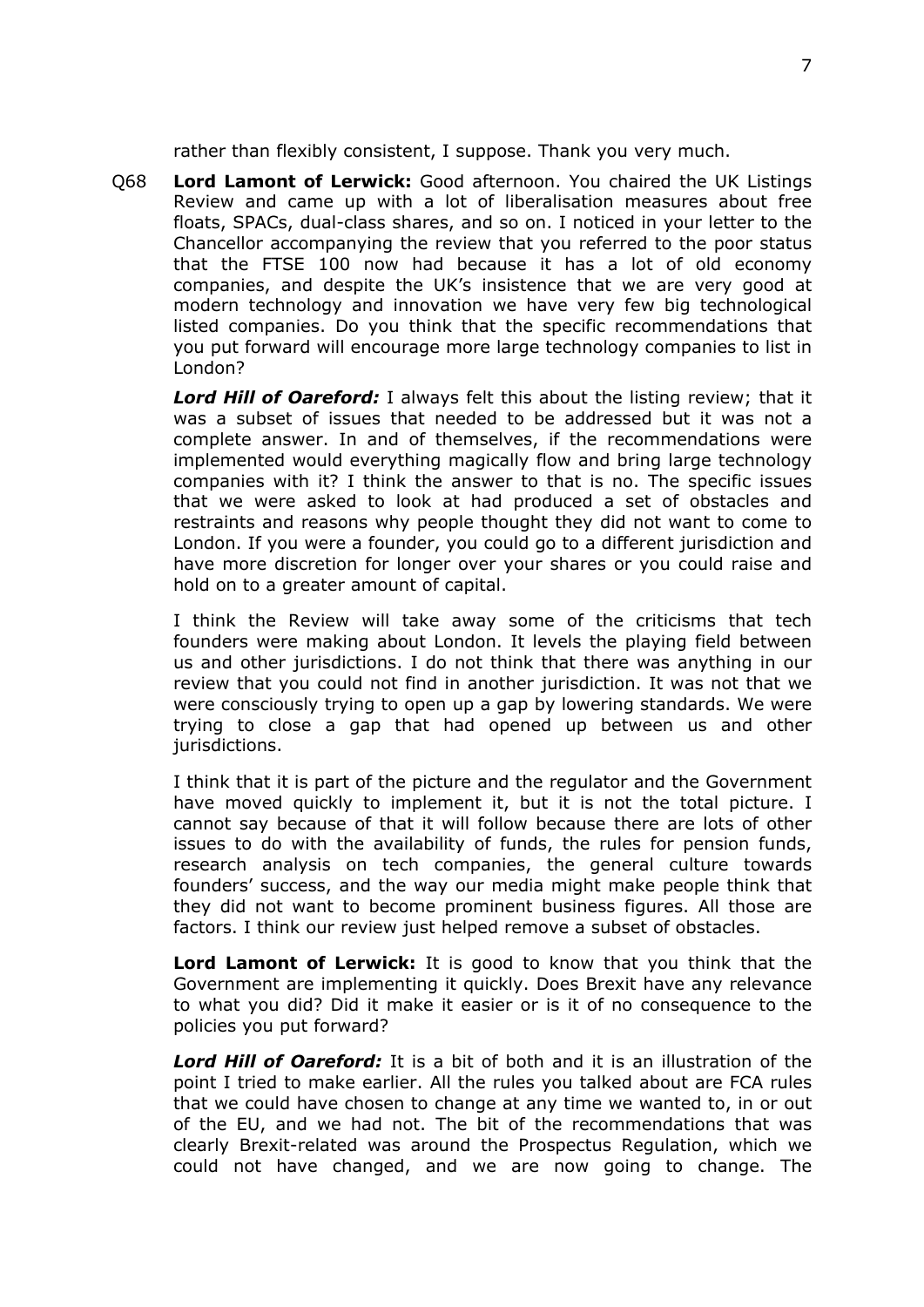rather than flexibly consistent, I suppose. Thank you very much.

Q68 **Lord Lamont of Lerwick:** Good afternoon. You chaired the UK Listings Review and came up with a lot of liberalisation measures about free floats, SPACs, dual-class shares, and so on. I noticed in your letter to the Chancellor accompanying the review that you referred to the poor status that the FTSE 100 now had because it has a lot of old economy companies, and despite the UK's insistence that we are very good at modern technology and innovation we have very few big technological listed companies. Do you think that the specific recommendations that you put forward will encourage more large technology companies to list in London?

*Lord Hill of Oareford:* I always felt this about the listing review; that it was a subset of issues that needed to be addressed but it was not a complete answer. In and of themselves, if the recommendations were implemented would everything magically flow and bring large technology companies with it? I think the answer to that is no. The specific issues that we were asked to look at had produced a set of obstacles and restraints and reasons why people thought they did not want to come to London. If you were a founder, you could go to a different jurisdiction and have more discretion for longer over your shares or you could raise and hold on to a greater amount of capital.

I think the Review will take away some of the criticisms that tech founders were making about London. It levels the playing field between us and other jurisdictions. I do not think that there was anything in our review that you could not find in another jurisdiction. It was not that we were consciously trying to open up a gap by lowering standards. We were trying to close a gap that had opened up between us and other jurisdictions.

I think that it is part of the picture and the regulator and the Government have moved quickly to implement it, but it is not the total picture. I cannot say because of that it will follow because there are lots of other issues to do with the availability of funds, the rules for pension funds, research analysis on tech companies, the general culture towards founders' success, and the way our media might make people think that they did not want to become prominent business figures. All those are factors. I think our review just helped remove a subset of obstacles.

**Lord Lamont of Lerwick:** It is good to know that you think that the Government are implementing it quickly. Does Brexit have any relevance to what you did? Did it make it easier or is it of no consequence to the policies you put forward?

*Lord Hill of Oareford:* It is a bit of both and it is an illustration of the point I tried to make earlier. All the rules you talked about are FCA rules that we could have chosen to change at any time we wanted to, in or out of the EU, and we had not. The bit of the recommendations that was clearly Brexit-related was around the Prospectus Regulation, which we could not have changed, and we are now going to change. The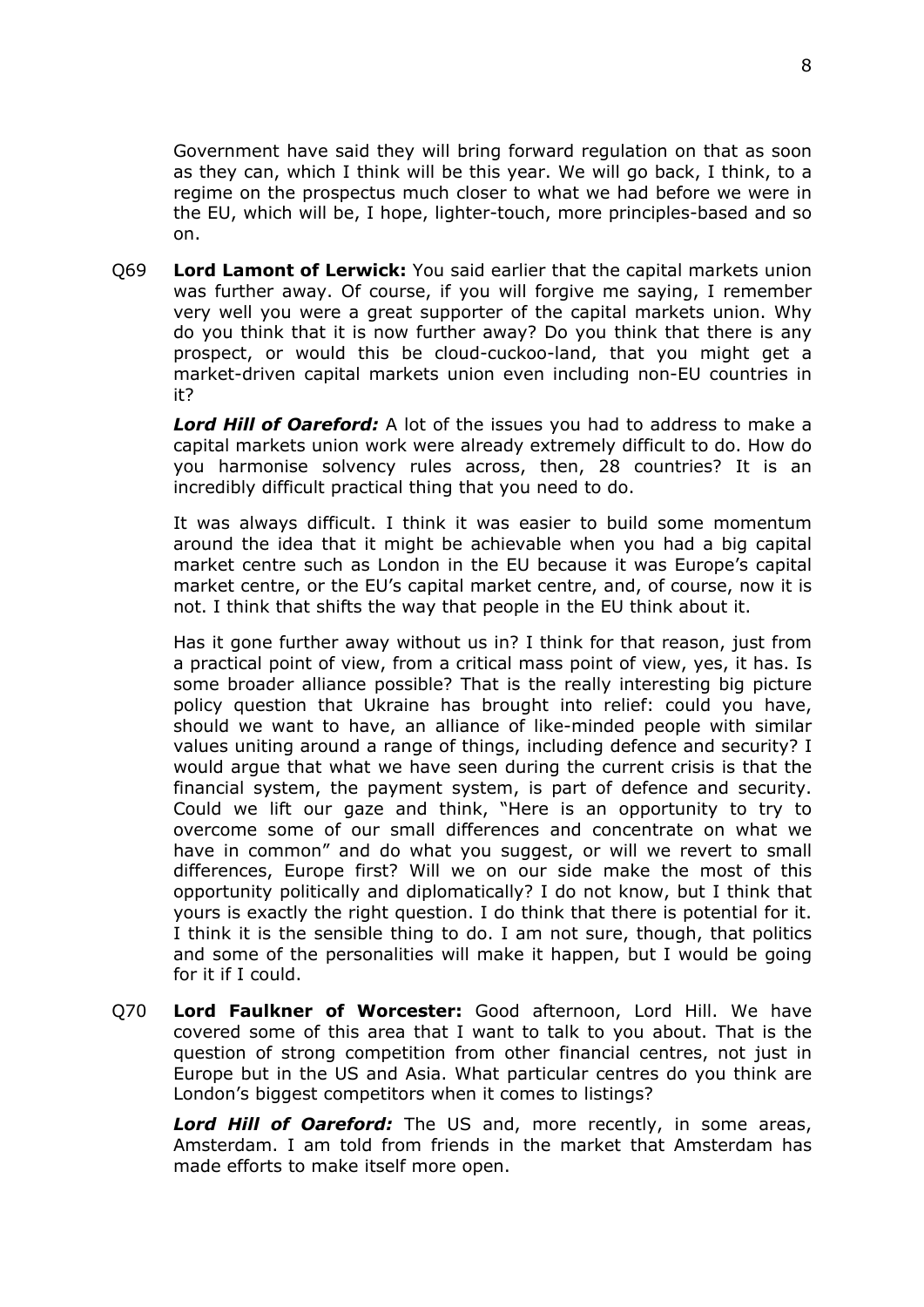Government have said they will bring forward regulation on that as soon as they can, which I think will be this year. We will go back, I think, to a regime on the prospectus much closer to what we had before we were in the EU, which will be, I hope, lighter-touch, more principles-based and so on.

Q69 **Lord Lamont of Lerwick:** You said earlier that the capital markets union was further away. Of course, if you will forgive me saying, I remember very well you were a great supporter of the capital markets union. Why do you think that it is now further away? Do you think that there is any prospect, or would this be cloud-cuckoo-land, that you might get a market-driven capital markets union even including non-EU countries in it?

*Lord Hill of Oareford:* A lot of the issues you had to address to make a capital markets union work were already extremely difficult to do. How do you harmonise solvency rules across, then, 28 countries? It is an incredibly difficult practical thing that you need to do.

It was always difficult. I think it was easier to build some momentum around the idea that it might be achievable when you had a big capital market centre such as London in the EU because it was Europe's capital market centre, or the EU's capital market centre, and, of course, now it is not. I think that shifts the way that people in the EU think about it.

Has it gone further away without us in? I think for that reason, just from a practical point of view, from a critical mass point of view, yes, it has. Is some broader alliance possible? That is the really interesting big picture policy question that Ukraine has brought into relief: could you have, should we want to have, an alliance of like-minded people with similar values uniting around a range of things, including defence and security? I would argue that what we have seen during the current crisis is that the financial system, the payment system, is part of defence and security. Could we lift our gaze and think, "Here is an opportunity to try to overcome some of our small differences and concentrate on what we have in common" and do what you suggest, or will we revert to small differences, Europe first? Will we on our side make the most of this opportunity politically and diplomatically? I do not know, but I think that yours is exactly the right question. I do think that there is potential for it. I think it is the sensible thing to do. I am not sure, though, that politics and some of the personalities will make it happen, but I would be going for it if I could.

Q70 **Lord Faulkner of Worcester:** Good afternoon, Lord Hill. We have covered some of this area that I want to talk to you about. That is the question of strong competition from other financial centres, not just in Europe but in the US and Asia. What particular centres do you think are London's biggest competitors when it comes to listings?

*Lord Hill of Oareford:* The US and, more recently, in some areas, Amsterdam. I am told from friends in the market that Amsterdam has made efforts to make itself more open.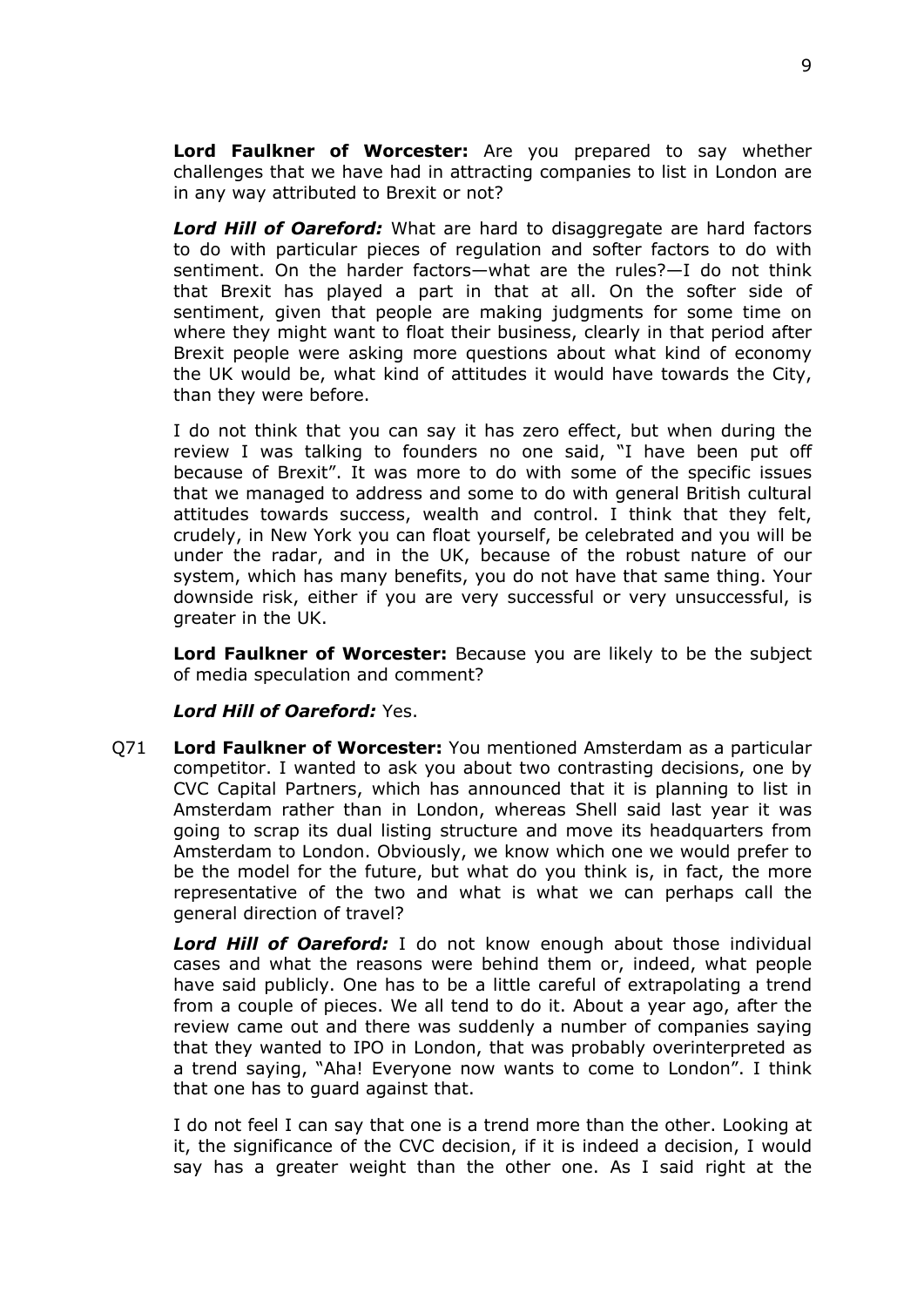**Lord Faulkner of Worcester:** Are you prepared to say whether challenges that we have had in attracting companies to list in London are in any way attributed to Brexit or not?

*Lord Hill of Oareford:* What are hard to disaggregate are hard factors to do with particular pieces of regulation and softer factors to do with sentiment. On the harder factors—what are the rules?—I do not think that Brexit has played a part in that at all. On the softer side of sentiment, given that people are making judgments for some time on where they might want to float their business, clearly in that period after Brexit people were asking more questions about what kind of economy the UK would be, what kind of attitudes it would have towards the City, than they were before.

I do not think that you can say it has zero effect, but when during the review I was talking to founders no one said, "I have been put off because of Brexit". It was more to do with some of the specific issues that we managed to address and some to do with general British cultural attitudes towards success, wealth and control. I think that they felt, crudely, in New York you can float yourself, be celebrated and you will be under the radar, and in the UK, because of the robust nature of our system, which has many benefits, you do not have that same thing. Your downside risk, either if you are very successful or very unsuccessful, is greater in the UK.

**Lord Faulkner of Worcester:** Because you are likely to be the subject of media speculation and comment?

### *Lord Hill of Oareford:* Yes.

Q71 **Lord Faulkner of Worcester:** You mentioned Amsterdam as a particular competitor. I wanted to ask you about two contrasting decisions, one by CVC Capital Partners, which has announced that it is planning to list in Amsterdam rather than in London, whereas Shell said last year it was going to scrap its dual listing structure and move its headquarters from Amsterdam to London. Obviously, we know which one we would prefer to be the model for the future, but what do you think is, in fact, the more representative of the two and what is what we can perhaps call the general direction of travel?

*Lord Hill of Oareford:* I do not know enough about those individual cases and what the reasons were behind them or, indeed, what people have said publicly. One has to be a little careful of extrapolating a trend from a couple of pieces. We all tend to do it. About a year ago, after the review came out and there was suddenly a number of companies saying that they wanted to IPO in London, that was probably overinterpreted as a trend saying, "Aha! Everyone now wants to come to London". I think that one has to guard against that.

I do not feel I can say that one is a trend more than the other. Looking at it, the significance of the CVC decision, if it is indeed a decision, I would say has a greater weight than the other one. As I said right at the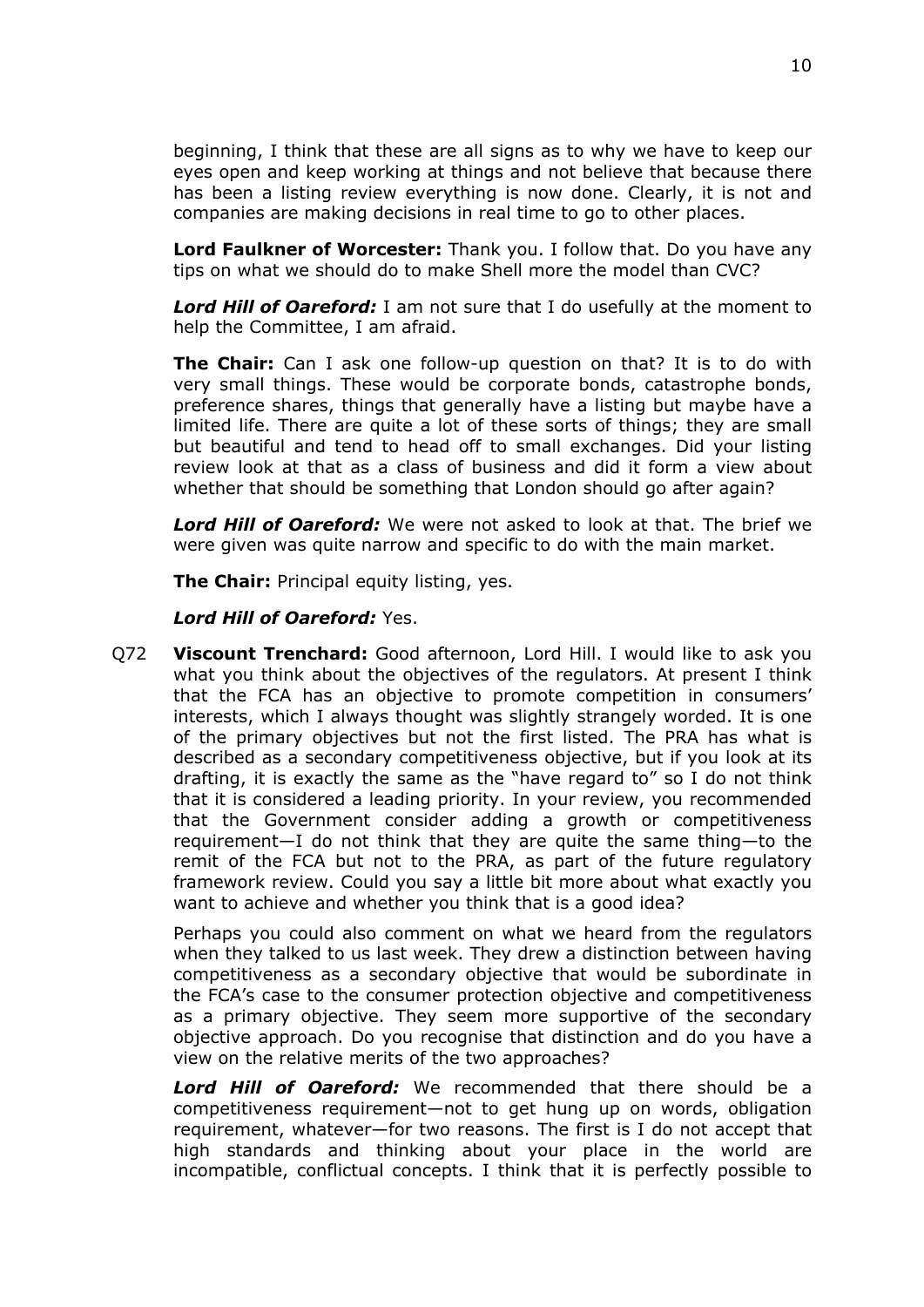beginning, I think that these are all signs as to why we have to keep our eyes open and keep working at things and not believe that because there has been a listing review everything is now done. Clearly, it is not and companies are making decisions in real time to go to other places.

**Lord Faulkner of Worcester:** Thank you. I follow that. Do you have any tips on what we should do to make Shell more the model than CVC?

*Lord Hill of Oareford:* I am not sure that I do usefully at the moment to help the Committee, I am afraid.

**The Chair:** Can I ask one follow-up question on that? It is to do with very small things. These would be corporate bonds, catastrophe bonds, preference shares, things that generally have a listing but maybe have a limited life. There are quite a lot of these sorts of things; they are small but beautiful and tend to head off to small exchanges. Did your listing review look at that as a class of business and did it form a view about whether that should be something that London should go after again?

*Lord Hill of Oareford:* We were not asked to look at that. The brief we were given was quite narrow and specific to do with the main market.

**The Chair:** Principal equity listing, yes.

#### *Lord Hill of Oareford:* Yes.

Q72 **Viscount Trenchard:** Good afternoon, Lord Hill. I would like to ask you what you think about the objectives of the regulators. At present I think that the FCA has an objective to promote competition in consumers' interests, which I always thought was slightly strangely worded. It is one of the primary objectives but not the first listed. The PRA has what is described as a secondary competitiveness objective, but if you look at its drafting, it is exactly the same as the "have regard to" so I do not think that it is considered a leading priority. In your review, you recommended that the Government consider adding a growth or competitiveness requirement—I do not think that they are quite the same thing—to the remit of the FCA but not to the PRA, as part of the future regulatory framework review. Could you say a little bit more about what exactly you want to achieve and whether you think that is a good idea?

Perhaps you could also comment on what we heard from the regulators when they talked to us last week. They drew a distinction between having competitiveness as a secondary objective that would be subordinate in the FCA's case to the consumer protection objective and competitiveness as a primary objective. They seem more supportive of the secondary objective approach. Do you recognise that distinction and do you have a view on the relative merits of the two approaches?

*Lord Hill of Oareford:* We recommended that there should be a competitiveness requirement—not to get hung up on words, obligation requirement, whatever—for two reasons. The first is I do not accept that high standards and thinking about your place in the world are incompatible, conflictual concepts. I think that it is perfectly possible to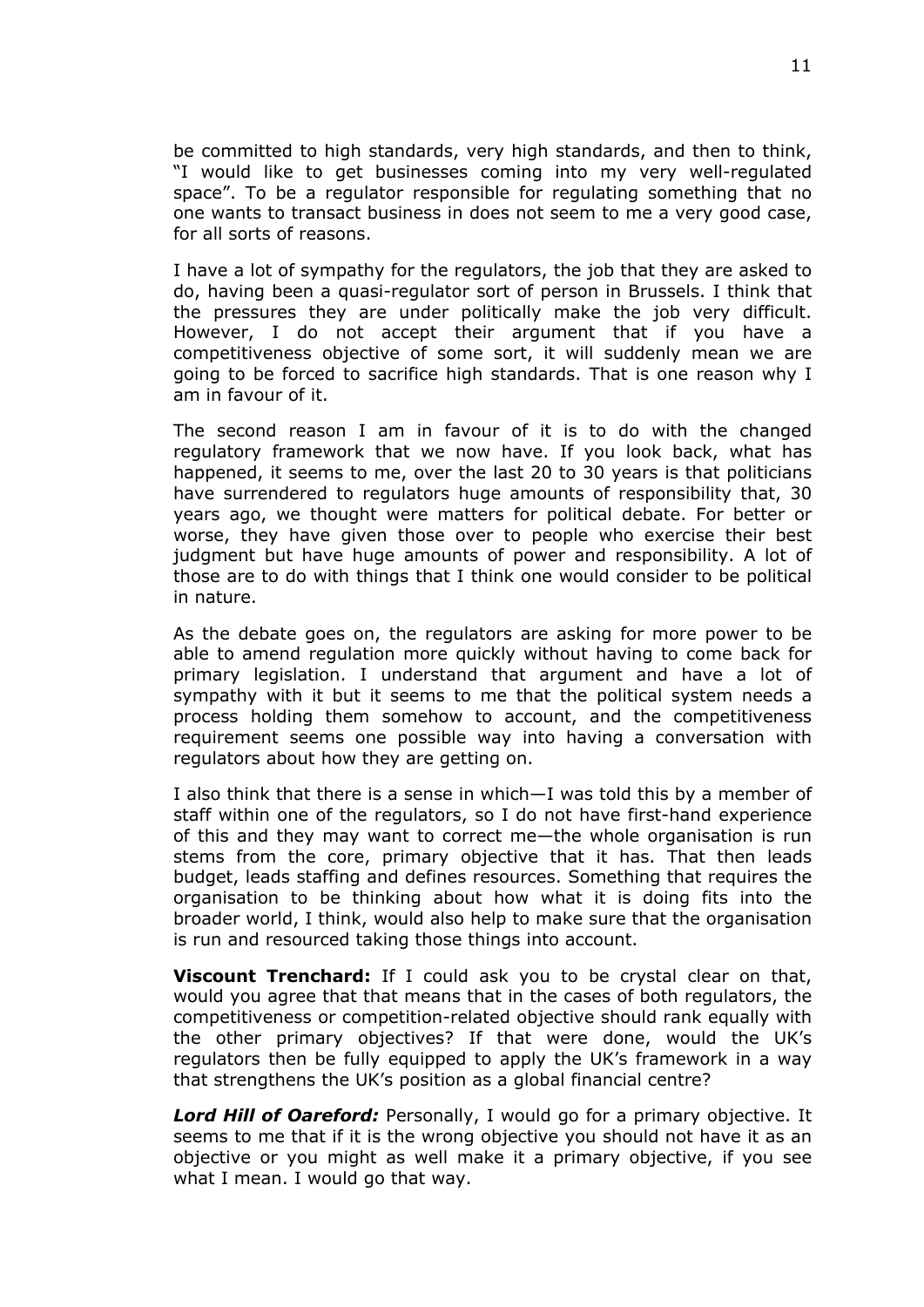be committed to high standards, very high standards, and then to think, "I would like to get businesses coming into my very well-regulated space". To be a regulator responsible for regulating something that no one wants to transact business in does not seem to me a very good case, for all sorts of reasons.

I have a lot of sympathy for the regulators, the job that they are asked to do, having been a quasi-regulator sort of person in Brussels. I think that the pressures they are under politically make the job very difficult. However, I do not accept their argument that if you have a competitiveness objective of some sort, it will suddenly mean we are going to be forced to sacrifice high standards. That is one reason why I am in favour of it.

The second reason I am in favour of it is to do with the changed regulatory framework that we now have. If you look back, what has happened, it seems to me, over the last 20 to 30 years is that politicians have surrendered to regulators huge amounts of responsibility that, 30 years ago, we thought were matters for political debate. For better or worse, they have given those over to people who exercise their best judgment but have huge amounts of power and responsibility. A lot of those are to do with things that I think one would consider to be political in nature.

As the debate goes on, the regulators are asking for more power to be able to amend regulation more quickly without having to come back for primary legislation. I understand that argument and have a lot of sympathy with it but it seems to me that the political system needs a process holding them somehow to account, and the competitiveness requirement seems one possible way into having a conversation with regulators about how they are getting on.

I also think that there is a sense in which—I was told this by a member of staff within one of the regulators, so I do not have first-hand experience of this and they may want to correct me—the whole organisation is run stems from the core, primary objective that it has. That then leads budget, leads staffing and defines resources. Something that requires the organisation to be thinking about how what it is doing fits into the broader world, I think, would also help to make sure that the organisation is run and resourced taking those things into account.

**Viscount Trenchard:** If I could ask you to be crystal clear on that, would you agree that that means that in the cases of both regulators, the competitiveness or competition-related objective should rank equally with the other primary objectives? If that were done, would the UK's regulators then be fully equipped to apply the UK's framework in a way that strengthens the UK's position as a global financial centre?

*Lord Hill of Oareford:* Personally, I would go for a primary objective. It seems to me that if it is the wrong objective you should not have it as an objective or you might as well make it a primary objective, if you see what I mean. I would go that way.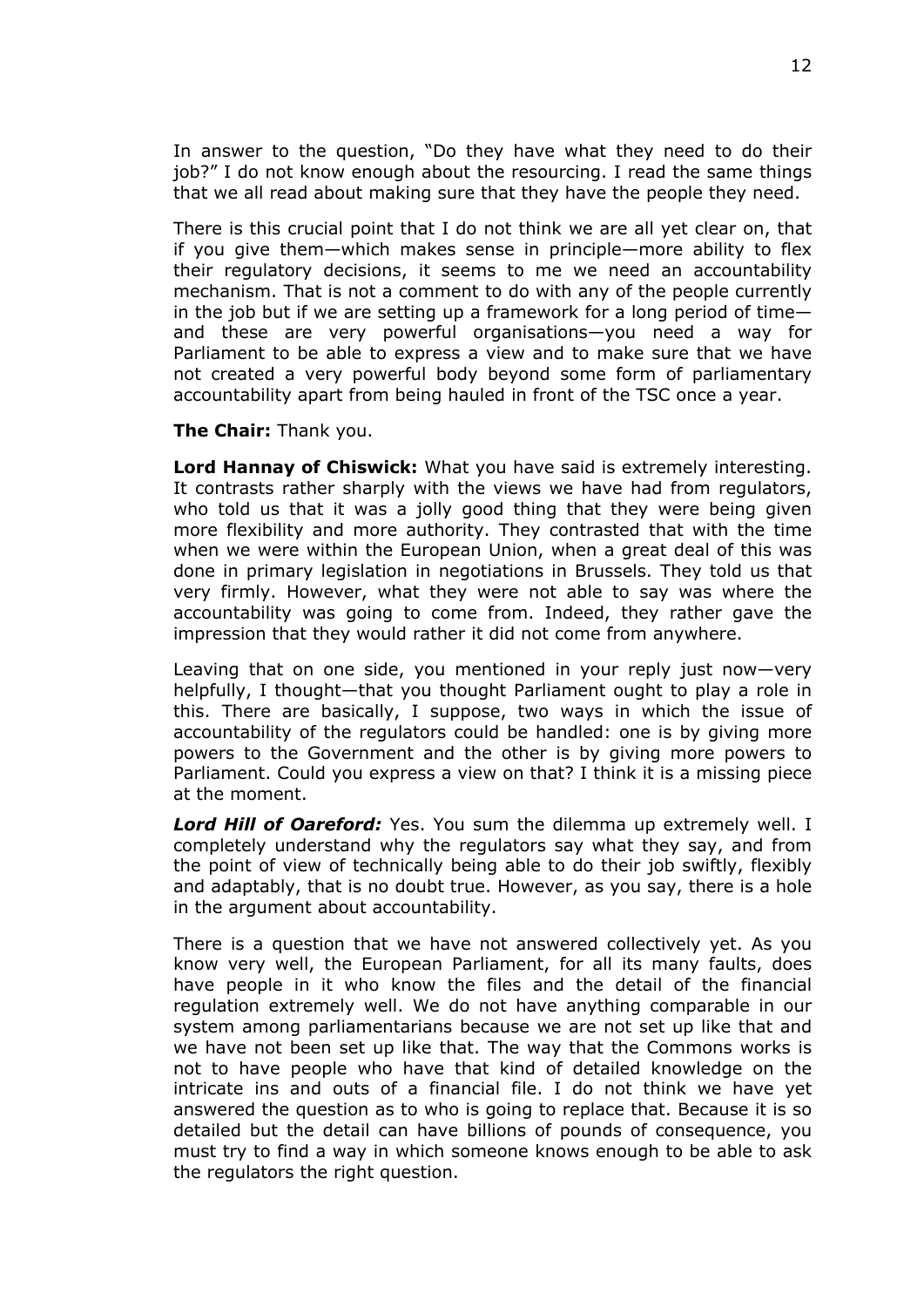In answer to the question, "Do they have what they need to do their job?" I do not know enough about the resourcing. I read the same things that we all read about making sure that they have the people they need.

There is this crucial point that I do not think we are all yet clear on, that if you give them—which makes sense in principle—more ability to flex their regulatory decisions, it seems to me we need an accountability mechanism. That is not a comment to do with any of the people currently in the job but if we are setting up a framework for a long period of time and these are very powerful organisations—you need a way for Parliament to be able to express a view and to make sure that we have not created a very powerful body beyond some form of parliamentary accountability apart from being hauled in front of the TSC once a year.

**The Chair:** Thank you.

**Lord Hannay of Chiswick:** What you have said is extremely interesting. It contrasts rather sharply with the views we have had from regulators, who told us that it was a jolly good thing that they were being given more flexibility and more authority. They contrasted that with the time when we were within the European Union, when a great deal of this was done in primary legislation in negotiations in Brussels. They told us that very firmly. However, what they were not able to say was where the accountability was going to come from. Indeed, they rather gave the impression that they would rather it did not come from anywhere.

Leaving that on one side, you mentioned in your reply just now—very helpfully, I thought—that you thought Parliament ought to play a role in this. There are basically, I suppose, two ways in which the issue of accountability of the regulators could be handled: one is by giving more powers to the Government and the other is by giving more powers to Parliament. Could you express a view on that? I think it is a missing piece at the moment.

*Lord Hill of Oareford:* Yes. You sum the dilemma up extremely well. I completely understand why the regulators say what they say, and from the point of view of technically being able to do their job swiftly, flexibly and adaptably, that is no doubt true. However, as you say, there is a hole in the argument about accountability.

There is a question that we have not answered collectively yet. As you know very well, the European Parliament, for all its many faults, does have people in it who know the files and the detail of the financial regulation extremely well. We do not have anything comparable in our system among parliamentarians because we are not set up like that and we have not been set up like that. The way that the Commons works is not to have people who have that kind of detailed knowledge on the intricate ins and outs of a financial file. I do not think we have yet answered the question as to who is going to replace that. Because it is so detailed but the detail can have billions of pounds of consequence, you must try to find a way in which someone knows enough to be able to ask the regulators the right question.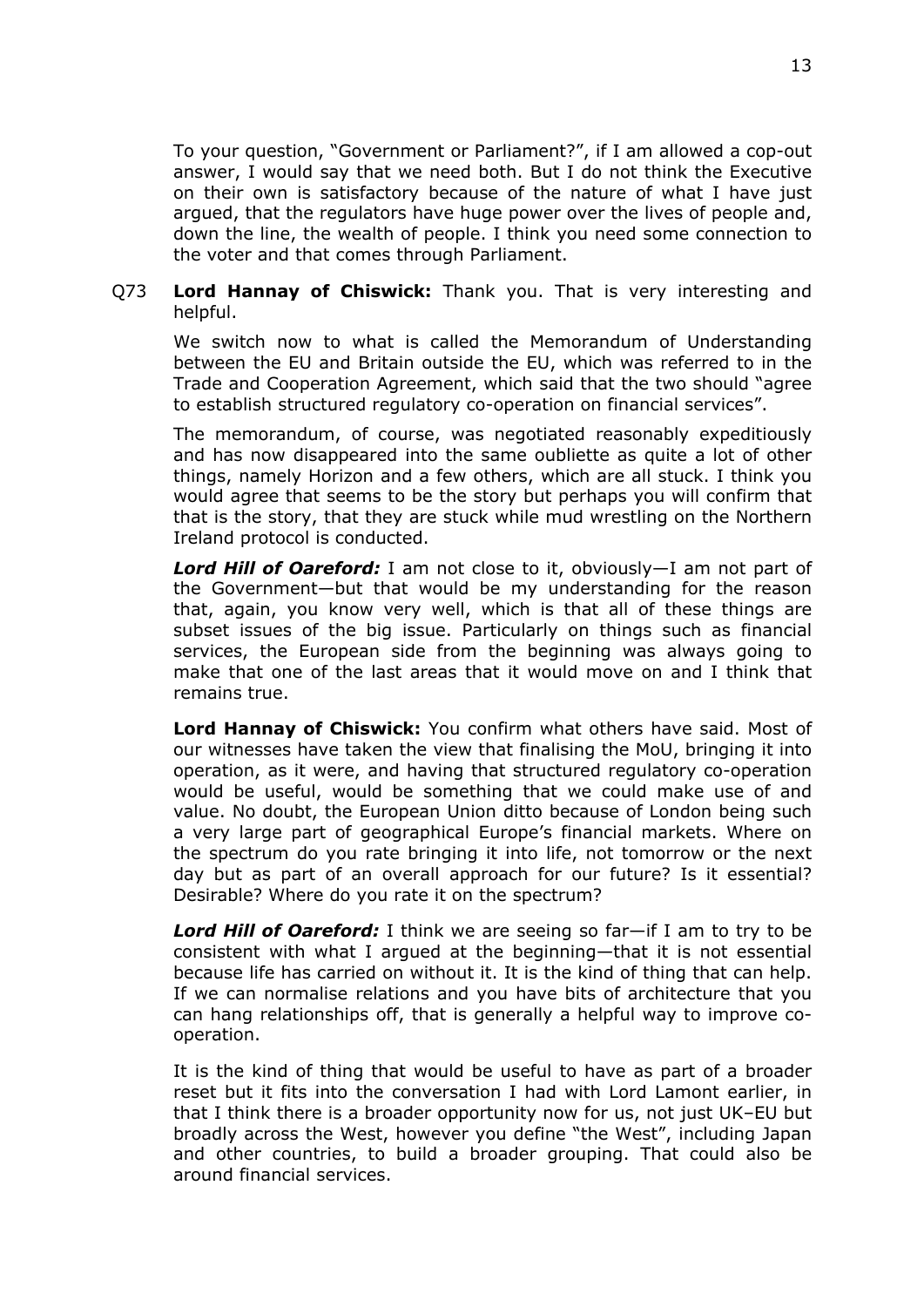To your question, "Government or Parliament?", if I am allowed a cop-out answer, I would say that we need both. But I do not think the Executive on their own is satisfactory because of the nature of what I have just argued, that the regulators have huge power over the lives of people and, down the line, the wealth of people. I think you need some connection to the voter and that comes through Parliament.

## Q73 **Lord Hannay of Chiswick:** Thank you. That is very interesting and helpful.

We switch now to what is called the Memorandum of Understanding between the EU and Britain outside the EU, which was referred to in the Trade and Cooperation Agreement, which said that the two should "agree to establish structured regulatory co-operation on financial services".

The memorandum, of course, was negotiated reasonably expeditiously and has now disappeared into the same oubliette as quite a lot of other things, namely Horizon and a few others, which are all stuck. I think you would agree that seems to be the story but perhaps you will confirm that that is the story, that they are stuck while mud wrestling on the Northern Ireland protocol is conducted.

*Lord Hill of Oareford:* I am not close to it, obviously—I am not part of the Government—but that would be my understanding for the reason that, again, you know very well, which is that all of these things are subset issues of the big issue. Particularly on things such as financial services, the European side from the beginning was always going to make that one of the last areas that it would move on and I think that remains true.

**Lord Hannay of Chiswick:** You confirm what others have said. Most of our witnesses have taken the view that finalising the MoU, bringing it into operation, as it were, and having that structured regulatory co-operation would be useful, would be something that we could make use of and value. No doubt, the European Union ditto because of London being such a very large part of geographical Europe's financial markets. Where on the spectrum do you rate bringing it into life, not tomorrow or the next day but as part of an overall approach for our future? Is it essential? Desirable? Where do you rate it on the spectrum?

*Lord Hill of Oareford:* I think we are seeing so far—if I am to try to be consistent with what I argued at the beginning—that it is not essential because life has carried on without it. It is the kind of thing that can help. If we can normalise relations and you have bits of architecture that you can hang relationships off, that is generally a helpful way to improve cooperation.

It is the kind of thing that would be useful to have as part of a broader reset but it fits into the conversation I had with Lord Lamont earlier, in that I think there is a broader opportunity now for us, not just UK–EU but broadly across the West, however you define "the West", including Japan and other countries, to build a broader grouping. That could also be around financial services.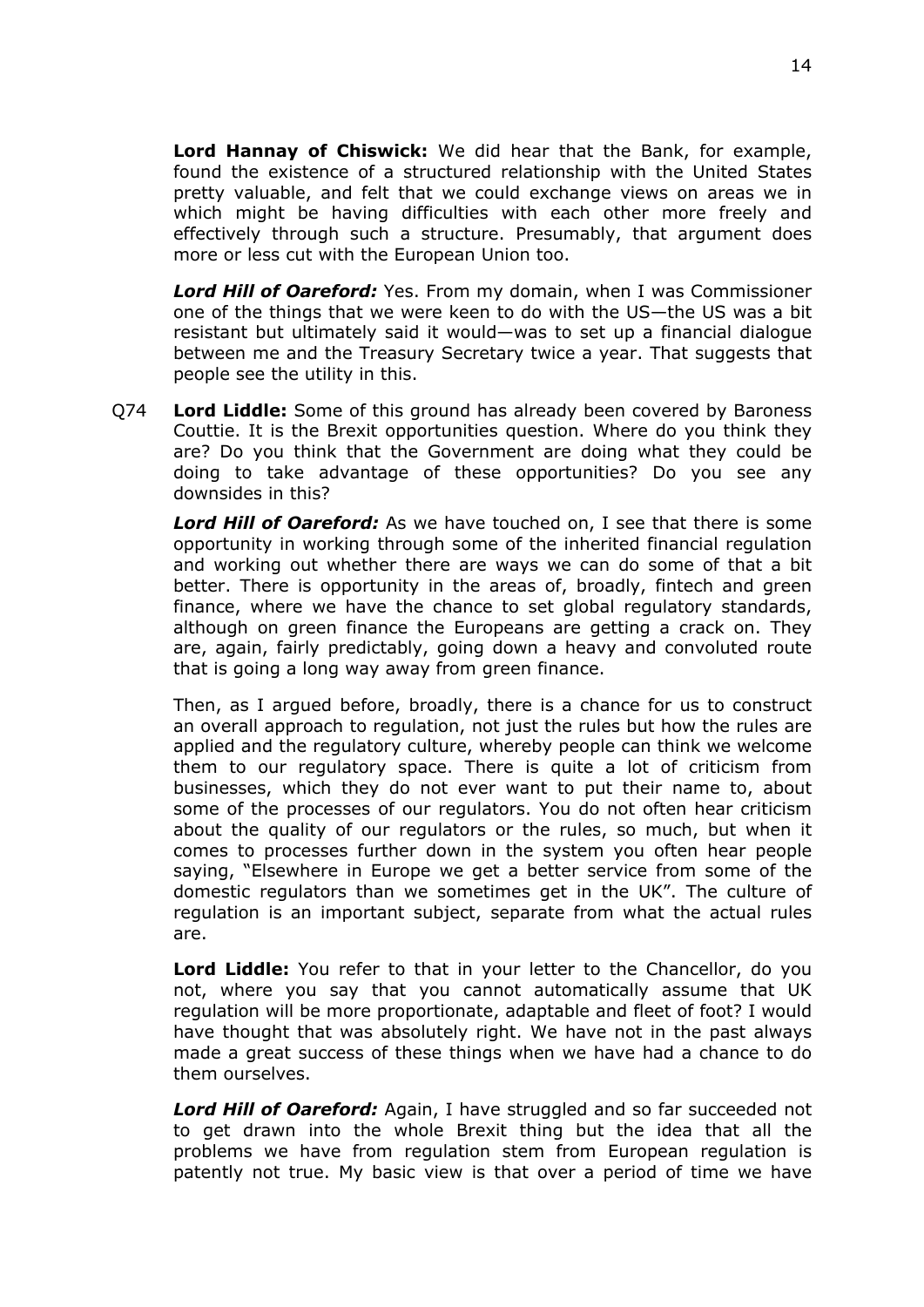**Lord Hannay of Chiswick:** We did hear that the Bank, for example, found the existence of a structured relationship with the United States pretty valuable, and felt that we could exchange views on areas we in which might be having difficulties with each other more freely and effectively through such a structure. Presumably, that argument does more or less cut with the European Union too.

*Lord Hill of Oareford:* Yes. From my domain, when I was Commissioner one of the things that we were keen to do with the US—the US was a bit resistant but ultimately said it would—was to set up a financial dialogue between me and the Treasury Secretary twice a year. That suggests that people see the utility in this.

Q74 **Lord Liddle:** Some of this ground has already been covered by Baroness Couttie. It is the Brexit opportunities question. Where do you think they are? Do you think that the Government are doing what they could be doing to take advantage of these opportunities? Do you see any downsides in this?

*Lord Hill of Oareford:* As we have touched on, I see that there is some opportunity in working through some of the inherited financial regulation and working out whether there are ways we can do some of that a bit better. There is opportunity in the areas of, broadly, fintech and green finance, where we have the chance to set global regulatory standards, although on green finance the Europeans are getting a crack on. They are, again, fairly predictably, going down a heavy and convoluted route that is going a long way away from green finance.

Then, as I argued before, broadly, there is a chance for us to construct an overall approach to regulation, not just the rules but how the rules are applied and the regulatory culture, whereby people can think we welcome them to our regulatory space. There is quite a lot of criticism from businesses, which they do not ever want to put their name to, about some of the processes of our regulators. You do not often hear criticism about the quality of our regulators or the rules, so much, but when it comes to processes further down in the system you often hear people saying, "Elsewhere in Europe we get a better service from some of the domestic regulators than we sometimes get in the UK". The culture of regulation is an important subject, separate from what the actual rules are.

**Lord Liddle:** You refer to that in your letter to the Chancellor, do you not, where you say that you cannot automatically assume that UK regulation will be more proportionate, adaptable and fleet of foot? I would have thought that was absolutely right. We have not in the past always made a great success of these things when we have had a chance to do them ourselves.

*Lord Hill of Oareford:* Again, I have struggled and so far succeeded not to get drawn into the whole Brexit thing but the idea that all the problems we have from regulation stem from European regulation is patently not true. My basic view is that over a period of time we have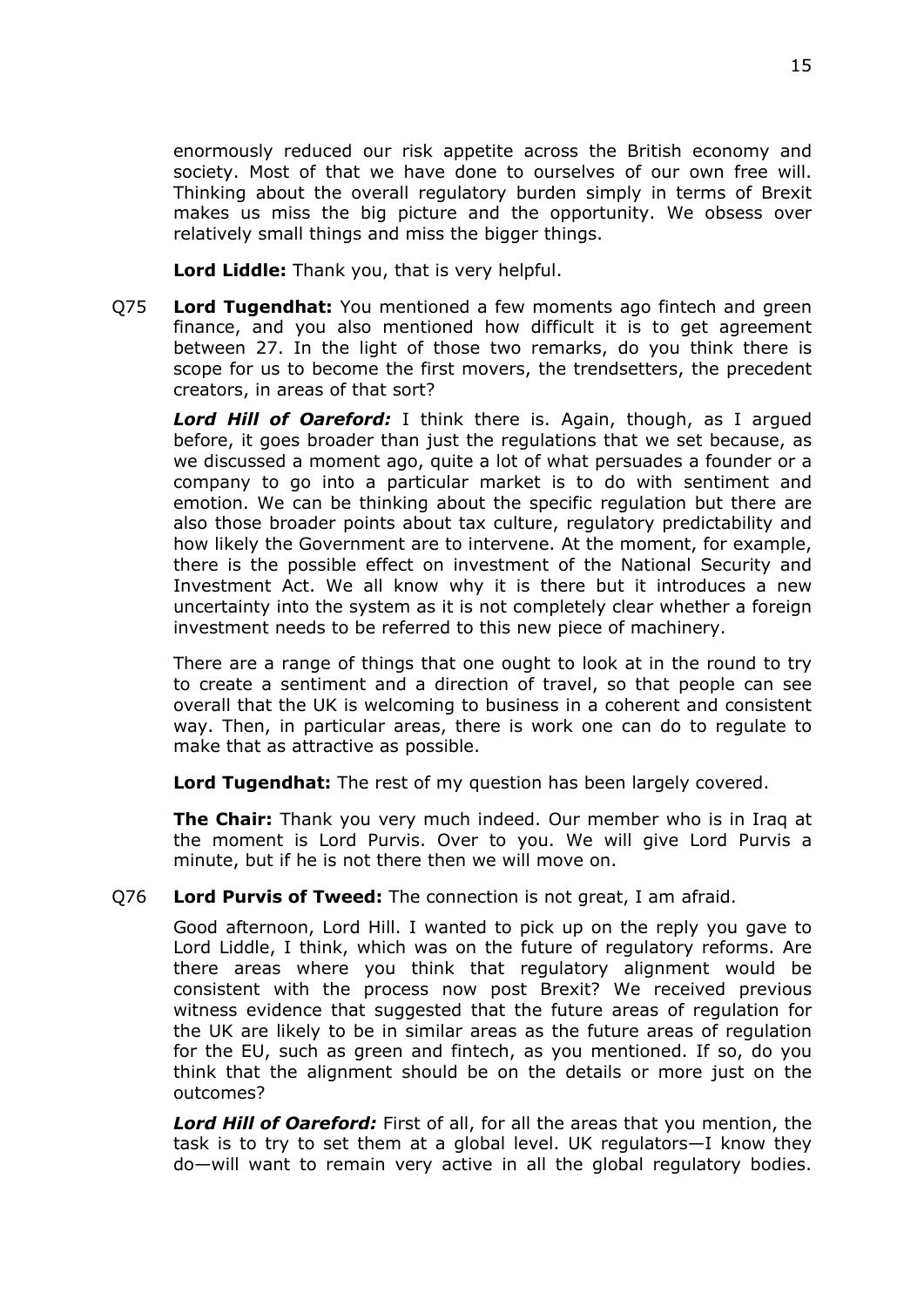enormously reduced our risk appetite across the British economy and society. Most of that we have done to ourselves of our own free will. Thinking about the overall regulatory burden simply in terms of Brexit makes us miss the big picture and the opportunity. We obsess over relatively small things and miss the bigger things.

**Lord Liddle:** Thank you, that is very helpful.

Q75 **Lord Tugendhat:** You mentioned a few moments ago fintech and green finance, and you also mentioned how difficult it is to get agreement between 27. In the light of those two remarks, do you think there is scope for us to become the first movers, the trendsetters, the precedent creators, in areas of that sort?

*Lord Hill of Oareford:* I think there is. Again, though, as I argued before, it goes broader than just the regulations that we set because, as we discussed a moment ago, quite a lot of what persuades a founder or a company to go into a particular market is to do with sentiment and emotion. We can be thinking about the specific regulation but there are also those broader points about tax culture, regulatory predictability and how likely the Government are to intervene. At the moment, for example, there is the possible effect on investment of the National Security and Investment Act. We all know why it is there but it introduces a new uncertainty into the system as it is not completely clear whether a foreign investment needs to be referred to this new piece of machinery.

There are a range of things that one ought to look at in the round to try to create a sentiment and a direction of travel, so that people can see overall that the UK is welcoming to business in a coherent and consistent way. Then, in particular areas, there is work one can do to regulate to make that as attractive as possible.

**Lord Tugendhat:** The rest of my question has been largely covered.

**The Chair:** Thank you very much indeed. Our member who is in Iraq at the moment is Lord Purvis. Over to you. We will give Lord Purvis a minute, but if he is not there then we will move on.

## Q76 **Lord Purvis of Tweed:** The connection is not great, I am afraid.

Good afternoon, Lord Hill. I wanted to pick up on the reply you gave to Lord Liddle, I think, which was on the future of regulatory reforms. Are there areas where you think that regulatory alignment would be consistent with the process now post Brexit? We received previous witness evidence that suggested that the future areas of regulation for the UK are likely to be in similar areas as the future areas of regulation for the EU, such as green and fintech, as you mentioned. If so, do you think that the alignment should be on the details or more just on the outcomes?

*Lord Hill of Oareford:* First of all, for all the areas that you mention, the task is to try to set them at a global level. UK regulators—I know they do—will want to remain very active in all the global regulatory bodies.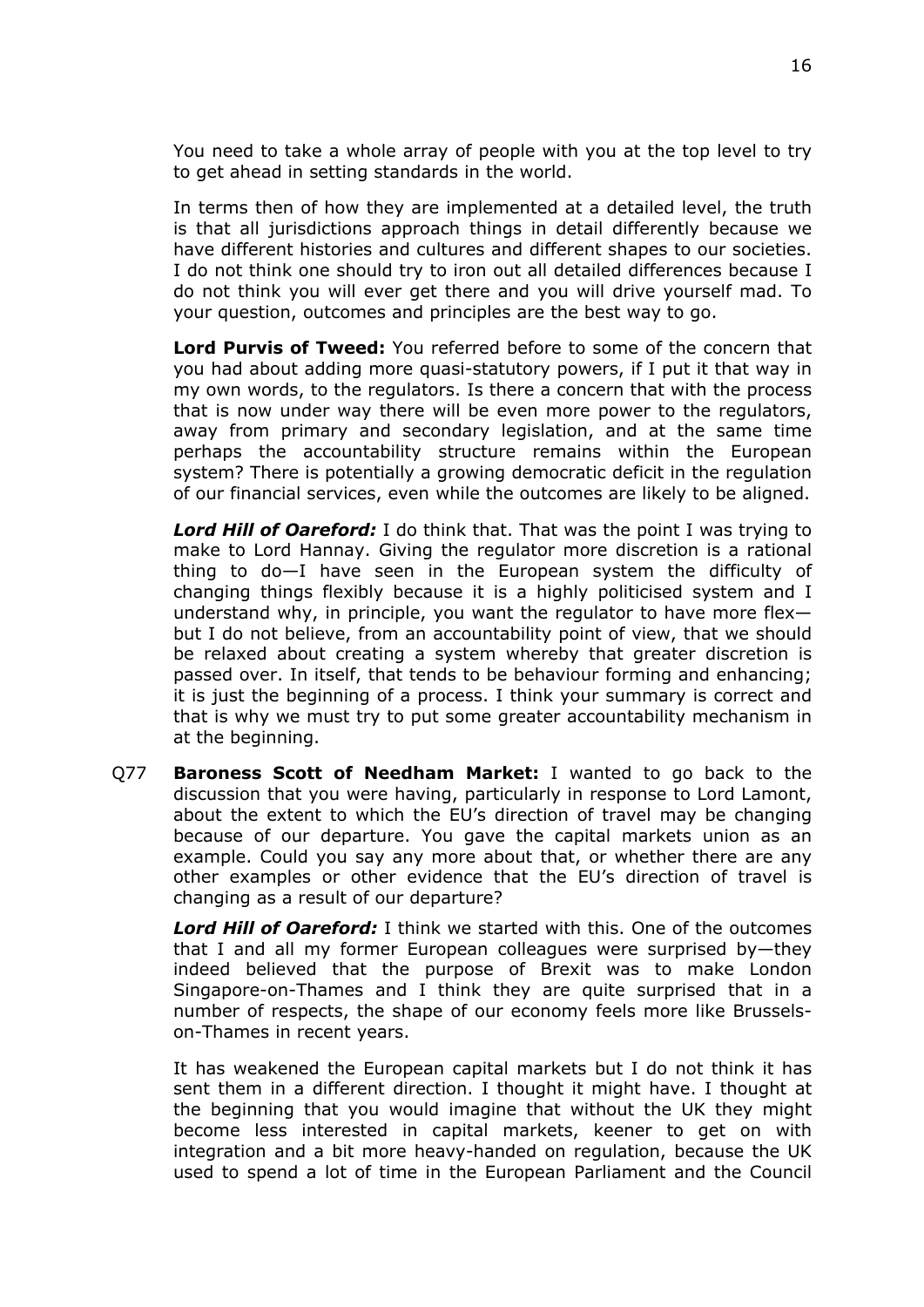You need to take a whole array of people with you at the top level to try to get ahead in setting standards in the world.

In terms then of how they are implemented at a detailed level, the truth is that all jurisdictions approach things in detail differently because we have different histories and cultures and different shapes to our societies. I do not think one should try to iron out all detailed differences because I do not think you will ever get there and you will drive yourself mad. To your question, outcomes and principles are the best way to go.

**Lord Purvis of Tweed:** You referred before to some of the concern that you had about adding more quasi-statutory powers, if I put it that way in my own words, to the regulators. Is there a concern that with the process that is now under way there will be even more power to the regulators, away from primary and secondary legislation, and at the same time perhaps the accountability structure remains within the European system? There is potentially a growing democratic deficit in the regulation of our financial services, even while the outcomes are likely to be aligned.

*Lord Hill of Oareford:* I do think that. That was the point I was trying to make to Lord Hannay. Giving the regulator more discretion is a rational thing to do—I have seen in the European system the difficulty of changing things flexibly because it is a highly politicised system and I understand why, in principle, you want the regulator to have more flex but I do not believe, from an accountability point of view, that we should be relaxed about creating a system whereby that greater discretion is passed over. In itself, that tends to be behaviour forming and enhancing; it is just the beginning of a process. I think your summary is correct and that is why we must try to put some greater accountability mechanism in at the beginning.

Q77 **Baroness Scott of Needham Market:** I wanted to go back to the discussion that you were having, particularly in response to Lord Lamont, about the extent to which the EU's direction of travel may be changing because of our departure. You gave the capital markets union as an example. Could you say any more about that, or whether there are any other examples or other evidence that the EU's direction of travel is changing as a result of our departure?

*Lord Hill of Oareford:* I think we started with this. One of the outcomes that I and all my former European colleagues were surprised by—they indeed believed that the purpose of Brexit was to make London Singapore-on-Thames and I think they are quite surprised that in a number of respects, the shape of our economy feels more like Brusselson-Thames in recent years.

It has weakened the European capital markets but I do not think it has sent them in a different direction. I thought it might have. I thought at the beginning that you would imagine that without the UK they might become less interested in capital markets, keener to get on with integration and a bit more heavy-handed on regulation, because the UK used to spend a lot of time in the European Parliament and the Council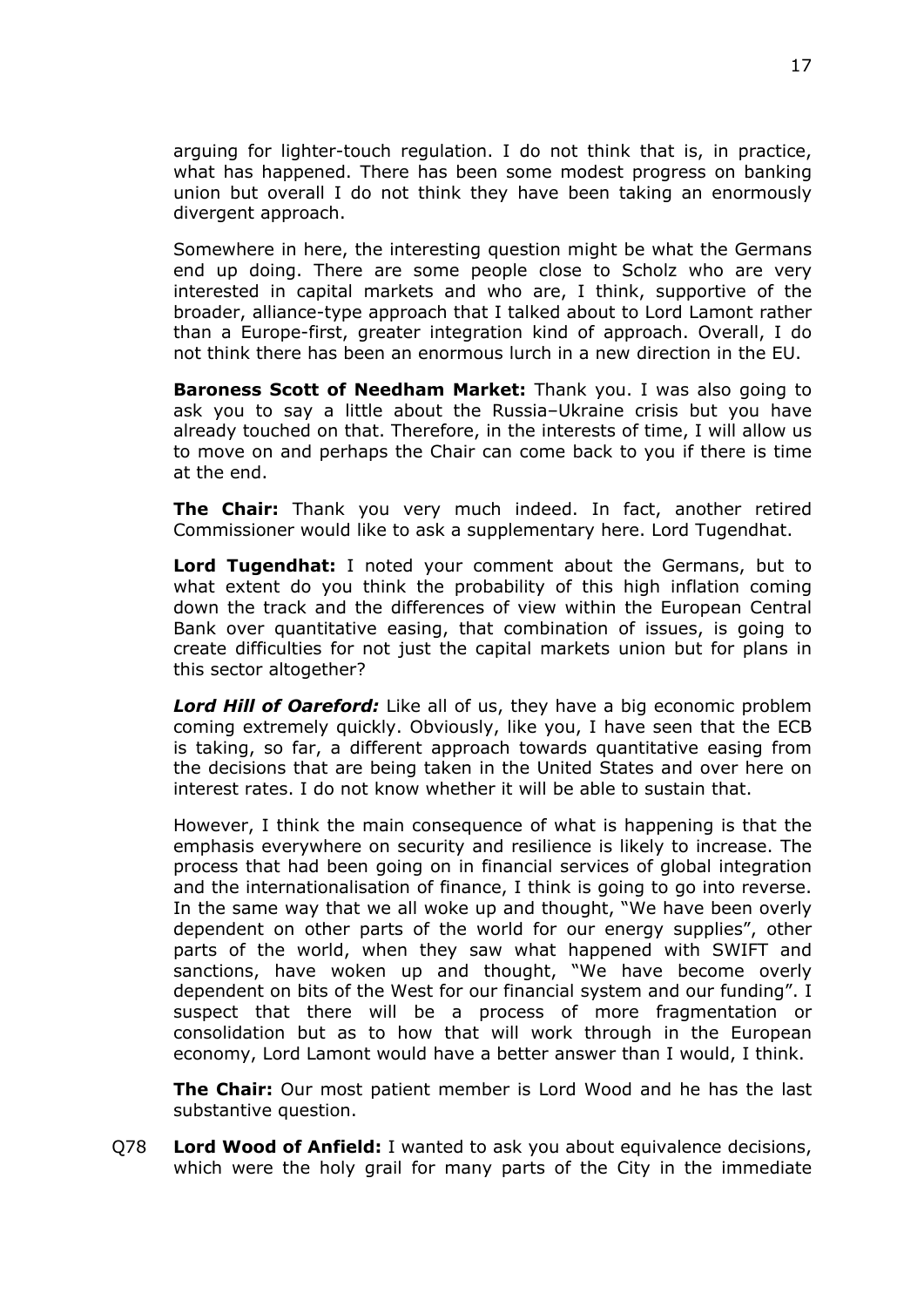arguing for lighter-touch regulation. I do not think that is, in practice, what has happened. There has been some modest progress on banking union but overall I do not think they have been taking an enormously divergent approach.

Somewhere in here, the interesting question might be what the Germans end up doing. There are some people close to Scholz who are very interested in capital markets and who are, I think, supportive of the broader, alliance-type approach that I talked about to Lord Lamont rather than a Europe-first, greater integration kind of approach. Overall, I do not think there has been an enormous lurch in a new direction in the EU.

**Baroness Scott of Needham Market:** Thank you. I was also going to ask you to say a little about the Russia–Ukraine crisis but you have already touched on that. Therefore, in the interests of time, I will allow us to move on and perhaps the Chair can come back to you if there is time at the end.

**The Chair:** Thank you very much indeed. In fact, another retired Commissioner would like to ask a supplementary here. Lord Tugendhat.

**Lord Tugendhat:** I noted your comment about the Germans, but to what extent do you think the probability of this high inflation coming down the track and the differences of view within the European Central Bank over quantitative easing, that combination of issues, is going to create difficulties for not just the capital markets union but for plans in this sector altogether?

*Lord Hill of Oareford:* Like all of us, they have a big economic problem coming extremely quickly. Obviously, like you, I have seen that the ECB is taking, so far, a different approach towards quantitative easing from the decisions that are being taken in the United States and over here on interest rates. I do not know whether it will be able to sustain that.

However, I think the main consequence of what is happening is that the emphasis everywhere on security and resilience is likely to increase. The process that had been going on in financial services of global integration and the internationalisation of finance, I think is going to go into reverse. In the same way that we all woke up and thought, "We have been overly dependent on other parts of the world for our energy supplies", other parts of the world, when they saw what happened with SWIFT and sanctions, have woken up and thought, "We have become overly dependent on bits of the West for our financial system and our funding". I suspect that there will be a process of more fragmentation or consolidation but as to how that will work through in the European economy, Lord Lamont would have a better answer than I would, I think.

**The Chair:** Our most patient member is Lord Wood and he has the last substantive question.

Q78 **Lord Wood of Anfield:** I wanted to ask you about equivalence decisions, which were the holy grail for many parts of the City in the immediate